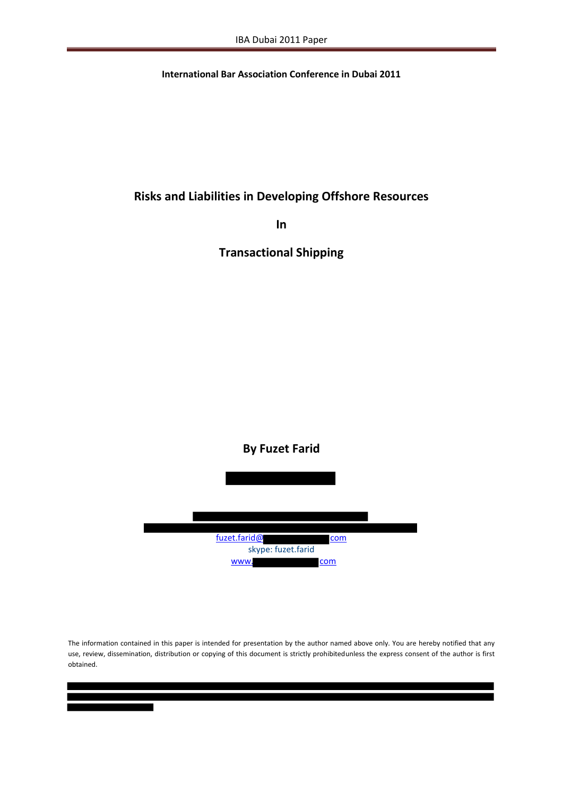**International Bar Association Conference in Dubai 2011**

## **Risks and Liabilities in Developing Offshore Resources**

**In**

**Transactional Shipping**

# **By Fuzet Farid** fuzet.farid@ com skype: fuzet.farid www. com

The information contained in this paper is intended for presentation by the author named above only. You are hereby notified that any use, review, dissemination, distribution or copying of this document is strictly prohibitedunless the express consent of the author is first obtained.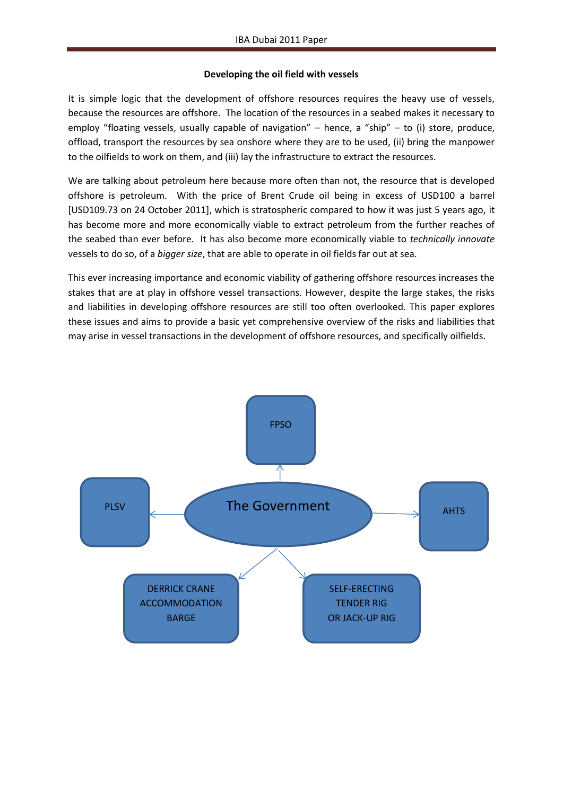#### **Developing the oil field with vessels**

It is simple logic that the development of offshore resources requires the heavy use of vessels, because the resources are offshore. The location of the resources in a seabed makes it necessary to employ "floating vessels, usually capable of navigation" – hence, a "ship" – to (i) store, produce, offload, transport the resources by sea onshore where they are to be used, (ii) bring the manpower to the oilfields to work on them, and (iii) lay the infrastructure to extract the resources.

We are talking about petroleum here because more often than not, the resource that is developed offshore is petroleum. With the price of Brent Crude oil being in excess of USD100 a barrel [USD109.73 on 24 October 2011], which is stratospheric compared to how it was just 5 years ago, it has become more and more economically viable to extract petroleum from the further reaches of the seabed than ever before. It has also become more economically viable to *technically innovate* vessels to do so, of a *bigger size*, that are able to operate in oil fields far out at sea.

This ever increasing importance and economic viability of gathering offshore resources increases the stakes that are at play in offshore vessel transactions. However, despite the large stakes, the risks and liabilities in developing offshore resources are still too often overlooked. This paper explores these issues and aims to provide a basic yet comprehensive overview of the risks and liabilities that may arise in vessel transactions in the development of offshore resources, and specifically oilfields.

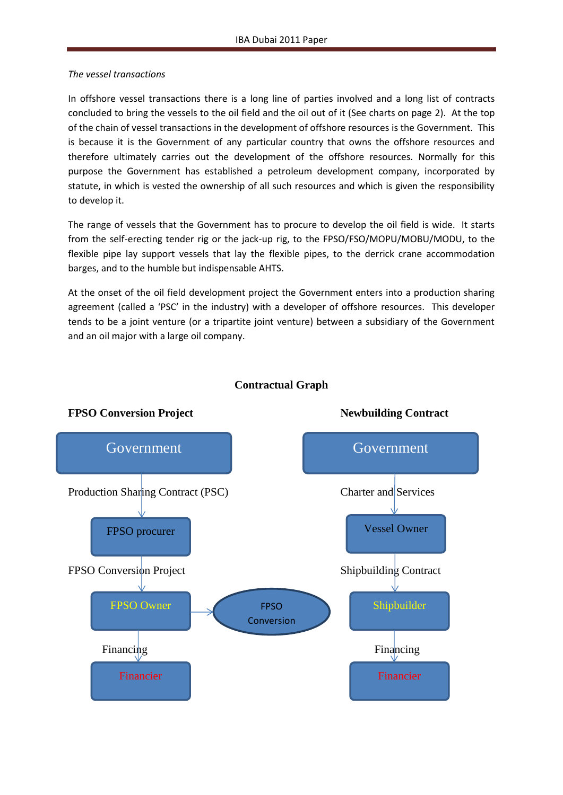#### *The vessel transactions*

In offshore vessel transactions there is a long line of parties involved and a long list of contracts concluded to bring the vessels to the oil field and the oil out of it (See charts on page 2). At the top of the chain of vessel transactions in the development of offshore resources is the Government. This is because it is the Government of any particular country that owns the offshore resources and therefore ultimately carries out the development of the offshore resources. Normally for this purpose the Government has established a petroleum development company, incorporated by statute, in which is vested the ownership of all such resources and which is given the responsibility to develop it.

The range of vessels that the Government has to procure to develop the oil field is wide. It starts from the self-erecting tender rig or the jack-up rig, to the FPSO/FSO/MOPU/MOBU/MODU, to the flexible pipe lay support vessels that lay the flexible pipes, to the derrick crane accommodation barges, and to the humble but indispensable AHTS.

At the onset of the oil field development project the Government enters into a production sharing agreement (called a 'PSC' in the industry) with a developer of offshore resources. This developer tends to be a joint venture (or a tripartite joint venture) between a subsidiary of the Government and an oil major with a large oil company.



### **Contractual Graph**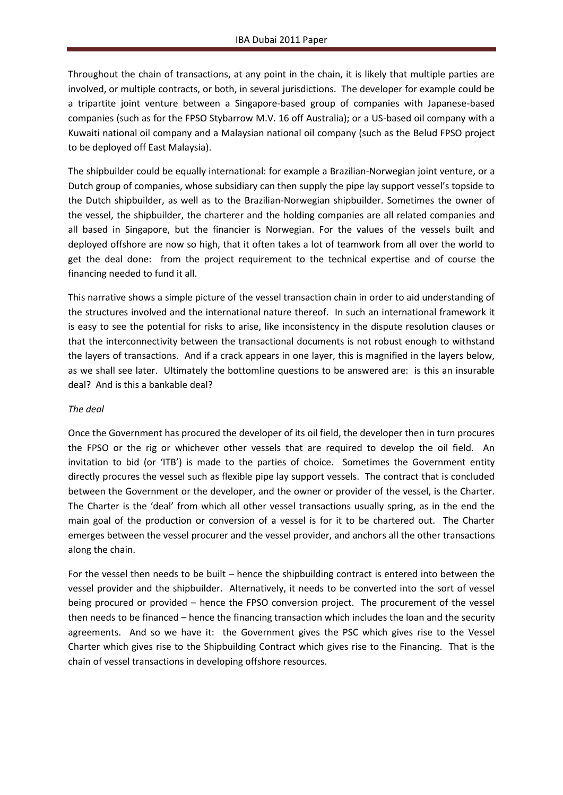Throughout the chain of transactions, at any point in the chain, it is likely that multiple parties are involved, or multiple contracts, or both, in several jurisdictions. The developer for example could be a tripartite joint venture between a Singapore-based group of companies with Japanese-based companies (such as for the FPSO Stybarrow M.V. 16 off Australia); or a US-based oil company with a Kuwaiti national oil company and a Malaysian national oil company (such as the Belud FPSO project to be deployed off East Malaysia).

The shipbuilder could be equally international: for example a Brazilian-Norwegian joint venture, or a Dutch group of companies, whose subsidiary can then supply the pipe lay support vessel's topside to the Dutch shipbuilder, as well as to the Brazilian-Norwegian shipbuilder. Sometimes the owner of the vessel, the shipbuilder, the charterer and the holding companies are all related companies and all based in Singapore, but the financier is Norwegian. For the values of the vessels built and deployed offshore are now so high, that it often takes a lot of teamwork from all over the world to get the deal done: from the project requirement to the technical expertise and of course the financing needed to fund it all.

This narrative shows a simple picture of the vessel transaction chain in order to aid understanding of the structures involved and the international nature thereof. In such an international framework it is easy to see the potential for risks to arise, like inconsistency in the dispute resolution clauses or that the interconnectivity between the transactional documents is not robust enough to withstand the layers of transactions. And if a crack appears in one layer, this is magnified in the layers below, as we shall see later. Ultimately the bottomline questions to be answered are: is this an insurable deal? And is this a bankable deal?

#### *The deal*

Once the Government has procured the developer of its oil field, the developer then in turn procures the FPSO or the rig or whichever other vessels that are required to develop the oil field. An invitation to bid (or 'ITB') is made to the parties of choice. Sometimes the Government entity directly procures the vessel such as flexible pipe lay support vessels. The contract that is concluded between the Government or the developer, and the owner or provider of the vessel, is the Charter. The Charter is the 'deal' from which all other vessel transactions usually spring, as in the end the main goal of the production or conversion of a vessel is for it to be chartered out. The Charter emerges between the vessel procurer and the vessel provider, and anchors all the other transactions along the chain.

For the vessel then needs to be built – hence the shipbuilding contract is entered into between the vessel provider and the shipbuilder. Alternatively, it needs to be converted into the sort of vessel being procured or provided – hence the FPSO conversion project. The procurement of the vessel then needs to be financed – hence the financing transaction which includes the loan and the security agreements. And so we have it: the Government gives the PSC which gives rise to the Vessel Charter which gives rise to the Shipbuilding Contract which gives rise to the Financing. That is the chain of vessel transactions in developing offshore resources.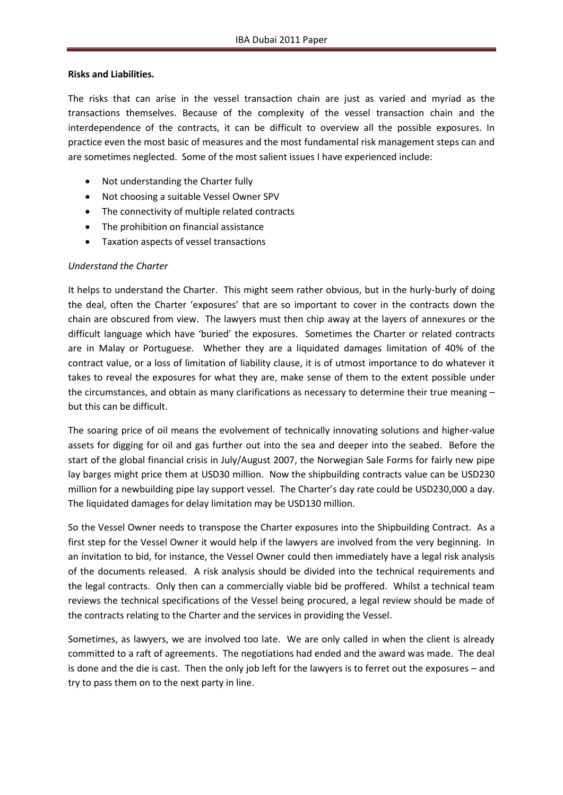#### **Risks and Liabilities.**

The risks that can arise in the vessel transaction chain are just as varied and myriad as the transactions themselves. Because of the complexity of the vessel transaction chain and the interdependence of the contracts, it can be difficult to overview all the possible exposures. In practice even the most basic of measures and the most fundamental risk management steps can and are sometimes neglected. Some of the most salient issues I have experienced include:

- Not understanding the Charter fully
- Not choosing a suitable Vessel Owner SPV
- The connectivity of multiple related contracts
- The prohibition on financial assistance
- Taxation aspects of vessel transactions

#### *Understand the Charter*

It helps to understand the Charter. This might seem rather obvious, but in the hurly-burly of doing the deal, often the Charter 'exposures' that are so important to cover in the contracts down the chain are obscured from view. The lawyers must then chip away at the layers of annexures or the difficult language which have 'buried' the exposures. Sometimes the Charter or related contracts are in Malay or Portuguese. Whether they are a liquidated damages limitation of 40% of the contract value, or a loss of limitation of liability clause, it is of utmost importance to do whatever it takes to reveal the exposures for what they are, make sense of them to the extent possible under the circumstances, and obtain as many clarifications as necessary to determine their true meaning – but this can be difficult.

The soaring price of oil means the evolvement of technically innovating solutions and higher-value assets for digging for oil and gas further out into the sea and deeper into the seabed. Before the start of the global financial crisis in July/August 2007, the Norwegian Sale Forms for fairly new pipe lay barges might price them at USD30 million. Now the shipbuilding contracts value can be USD230 million for a newbuilding pipe lay support vessel. The Charter's day rate could be USD230,000 a day. The liquidated damages for delay limitation may be USD130 million.

So the Vessel Owner needs to transpose the Charter exposures into the Shipbuilding Contract. As a first step for the Vessel Owner it would help if the lawyers are involved from the very beginning. In an invitation to bid, for instance, the Vessel Owner could then immediately have a legal risk analysis of the documents released. A risk analysis should be divided into the technical requirements and the legal contracts. Only then can a commercially viable bid be proffered. Whilst a technical team reviews the technical specifications of the Vessel being procured, a legal review should be made of the contracts relating to the Charter and the services in providing the Vessel.

Sometimes, as lawyers, we are involved too late. We are only called in when the client is already committed to a raft of agreements. The negotiations had ended and the award was made. The deal is done and the die is cast. Then the only job left for the lawyers is to ferret out the exposures – and try to pass them on to the next party in line.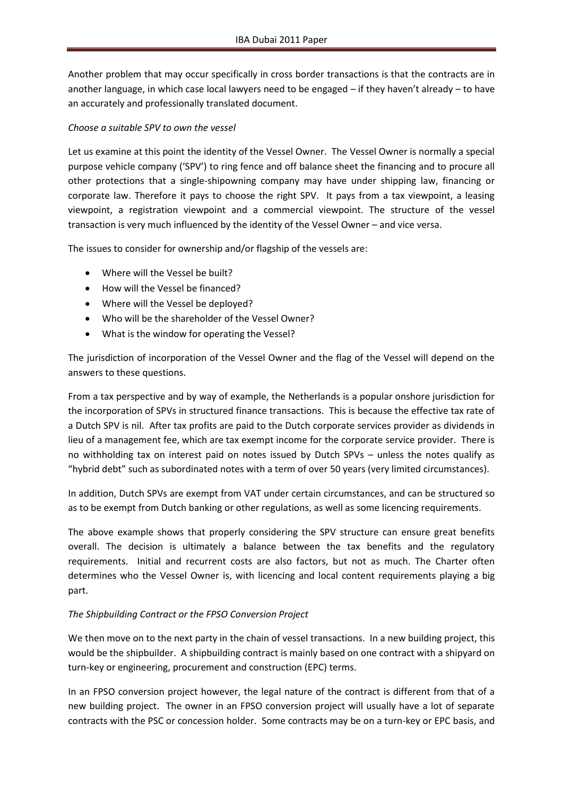Another problem that may occur specifically in cross border transactions is that the contracts are in another language, in which case local lawyers need to be engaged – if they haven't already – to have an accurately and professionally translated document.

#### *Choose a suitable SPV to own the vessel*

Let us examine at this point the identity of the Vessel Owner. The Vessel Owner is normally a special purpose vehicle company ('SPV') to ring fence and off balance sheet the financing and to procure all other protections that a single-shipowning company may have under shipping law, financing or corporate law. Therefore it pays to choose the right SPV. It pays from a tax viewpoint, a leasing viewpoint, a registration viewpoint and a commercial viewpoint. The structure of the vessel transaction is very much influenced by the identity of the Vessel Owner – and vice versa.

The issues to consider for ownership and/or flagship of the vessels are:

- Where will the Vessel be built?
- How will the Vessel be financed?
- Where will the Vessel be deployed?
- Who will be the shareholder of the Vessel Owner?
- What is the window for operating the Vessel?

The jurisdiction of incorporation of the Vessel Owner and the flag of the Vessel will depend on the answers to these questions.

From a tax perspective and by way of example, the Netherlands is a popular onshore jurisdiction for the incorporation of SPVs in structured finance transactions. This is because the effective tax rate of a Dutch SPV is nil. After tax profits are paid to the Dutch corporate services provider as dividends in lieu of a management fee, which are tax exempt income for the corporate service provider. There is no withholding tax on interest paid on notes issued by Dutch SPVs – unless the notes qualify as "hybrid debt" such as subordinated notes with a term of over 50 years (very limited circumstances).

In addition, Dutch SPVs are exempt from VAT under certain circumstances, and can be structured so as to be exempt from Dutch banking or other regulations, as well as some licencing requirements.

The above example shows that properly considering the SPV structure can ensure great benefits overall. The decision is ultimately a balance between the tax benefits and the regulatory requirements. Initial and recurrent costs are also factors, but not as much. The Charter often determines who the Vessel Owner is, with licencing and local content requirements playing a big part.

#### *The Shipbuilding Contract or the FPSO Conversion Project*

We then move on to the next party in the chain of vessel transactions. In a new building project, this would be the shipbuilder. A shipbuilding contract is mainly based on one contract with a shipyard on turn-key or engineering, procurement and construction (EPC) terms.

In an FPSO conversion project however, the legal nature of the contract is different from that of a new building project. The owner in an FPSO conversion project will usually have a lot of separate contracts with the PSC or concession holder. Some contracts may be on a turn-key or EPC basis, and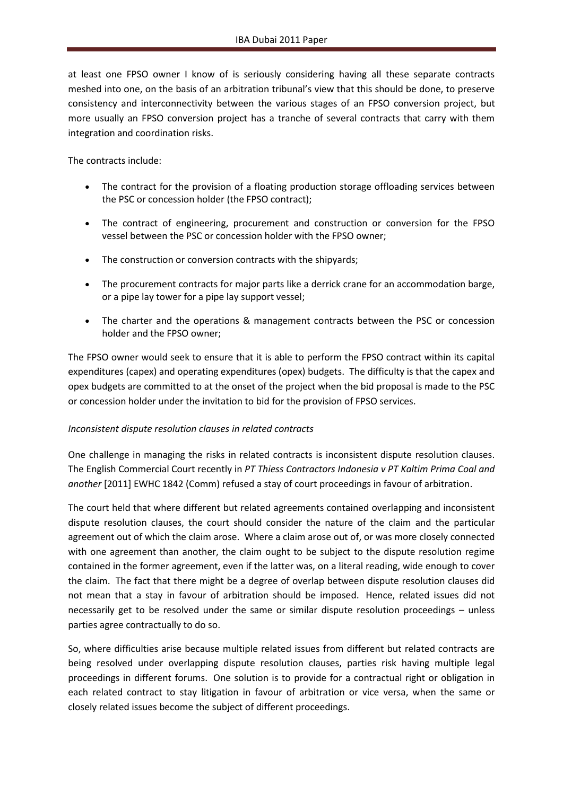at least one FPSO owner I know of is seriously considering having all these separate contracts meshed into one, on the basis of an arbitration tribunal's view that this should be done, to preserve consistency and interconnectivity between the various stages of an FPSO conversion project, but more usually an FPSO conversion project has a tranche of several contracts that carry with them integration and coordination risks.

The contracts include:

- The contract for the provision of a floating production storage offloading services between the PSC or concession holder (the FPSO contract);
- The contract of engineering, procurement and construction or conversion for the FPSO vessel between the PSC or concession holder with the FPSO owner;
- The construction or conversion contracts with the shipyards;
- The procurement contracts for major parts like a derrick crane for an accommodation barge, or a pipe lay tower for a pipe lay support vessel;
- The charter and the operations & management contracts between the PSC or concession holder and the FPSO owner;

The FPSO owner would seek to ensure that it is able to perform the FPSO contract within its capital expenditures (capex) and operating expenditures (opex) budgets. The difficulty is that the capex and opex budgets are committed to at the onset of the project when the bid proposal is made to the PSC or concession holder under the invitation to bid for the provision of FPSO services.

#### *Inconsistent dispute resolution clauses in related contracts*

One challenge in managing the risks in related contracts is inconsistent dispute resolution clauses. The English Commercial Court recently in *PT Thiess Contractors Indonesia v PT Kaltim Prima Coal and another* [2011] EWHC 1842 (Comm) refused a stay of court proceedings in favour of arbitration.

The court held that where different but related agreements contained overlapping and inconsistent dispute resolution clauses, the court should consider the nature of the claim and the particular agreement out of which the claim arose. Where a claim arose out of, or was more closely connected with one agreement than another, the claim ought to be subject to the dispute resolution regime contained in the former agreement, even if the latter was, on a literal reading, wide enough to cover the claim. The fact that there might be a degree of overlap between dispute resolution clauses did not mean that a stay in favour of arbitration should be imposed. Hence, related issues did not necessarily get to be resolved under the same or similar dispute resolution proceedings – unless parties agree contractually to do so.

So, where difficulties arise because multiple related issues from different but related contracts are being resolved under overlapping dispute resolution clauses, parties risk having multiple legal proceedings in different forums. One solution is to provide for a contractual right or obligation in each related contract to stay litigation in favour of arbitration or vice versa, when the same or closely related issues become the subject of different proceedings.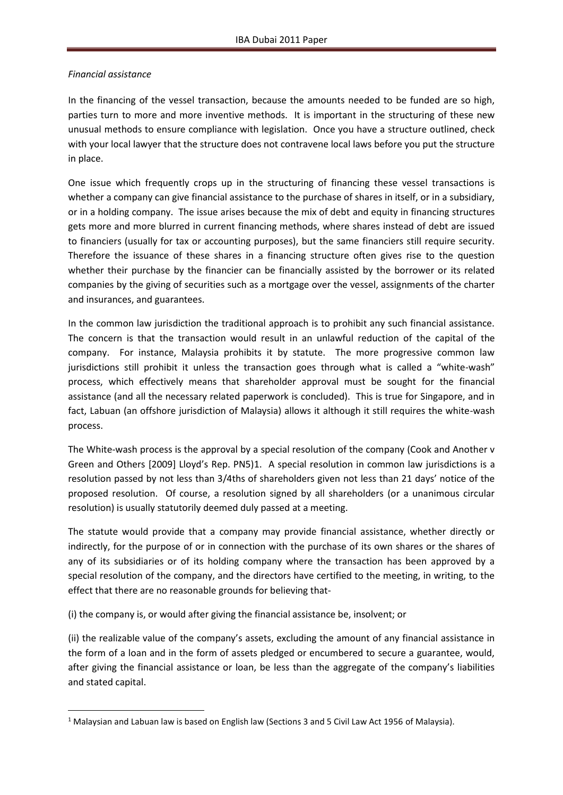#### *Financial assistance*

**.** 

In the financing of the vessel transaction, because the amounts needed to be funded are so high, parties turn to more and more inventive methods. It is important in the structuring of these new unusual methods to ensure compliance with legislation. Once you have a structure outlined, check with your local lawyer that the structure does not contravene local laws before you put the structure in place.

One issue which frequently crops up in the structuring of financing these vessel transactions is whether a company can give financial assistance to the purchase of shares in itself, or in a subsidiary, or in a holding company. The issue arises because the mix of debt and equity in financing structures gets more and more blurred in current financing methods, where shares instead of debt are issued to financiers (usually for tax or accounting purposes), but the same financiers still require security. Therefore the issuance of these shares in a financing structure often gives rise to the question whether their purchase by the financier can be financially assisted by the borrower or its related companies by the giving of securities such as a mortgage over the vessel, assignments of the charter and insurances, and guarantees.

In the common law jurisdiction the traditional approach is to prohibit any such financial assistance. The concern is that the transaction would result in an unlawful reduction of the capital of the company. For instance, Malaysia prohibits it by statute. The more progressive common law jurisdictions still prohibit it unless the transaction goes through what is called a "white-wash" process, which effectively means that shareholder approval must be sought for the financial assistance (and all the necessary related paperwork is concluded). This is true for Singapore, and in fact, Labuan (an offshore jurisdiction of Malaysia) allows it although it still requires the white-wash process.

The White-wash process is the approval by a special resolution of the company (Cook and Another v Green and Others [2009] Lloyd's Rep. PN5)1. A special resolution in common law jurisdictions is a resolution passed by not less than 3/4ths of shareholders given not less than 21 days' notice of the proposed resolution. Of course, a resolution signed by all shareholders (or a unanimous circular resolution) is usually statutorily deemed duly passed at a meeting.

The statute would provide that a company may provide financial assistance, whether directly or indirectly, for the purpose of or in connection with the purchase of its own shares or the shares of any of its subsidiaries or of its holding company where the transaction has been approved by a special resolution of the company, and the directors have certified to the meeting, in writing, to the effect that there are no reasonable grounds for believing that-

(i) the company is, or would after giving the financial assistance be, insolvent; or

(ii) the realizable value of the company's assets, excluding the amount of any financial assistance in the form of a loan and in the form of assets pledged or encumbered to secure a guarantee, would, after giving the financial assistance or loan, be less than the aggregate of the company's liabilities and stated capital.

<sup>1</sup> Malaysian and Labuan law is based on English law (Sections 3 and 5 Civil Law Act 1956 of Malaysia).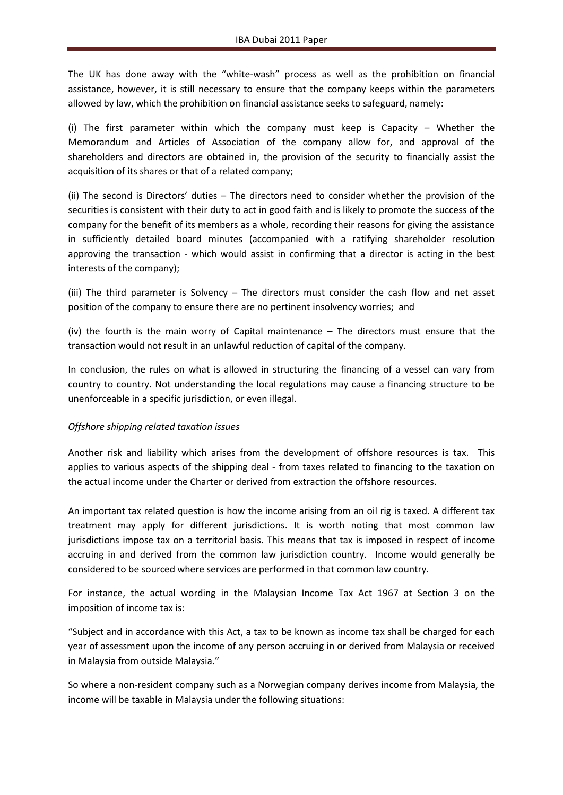The UK has done away with the "white-wash" process as well as the prohibition on financial assistance, however, it is still necessary to ensure that the company keeps within the parameters allowed by law, which the prohibition on financial assistance seeks to safeguard, namely:

(i) The first parameter within which the company must keep is Capacity – Whether the Memorandum and Articles of Association of the company allow for, and approval of the shareholders and directors are obtained in, the provision of the security to financially assist the acquisition of its shares or that of a related company;

(ii) The second is Directors' duties – The directors need to consider whether the provision of the securities is consistent with their duty to act in good faith and is likely to promote the success of the company for the benefit of its members as a whole, recording their reasons for giving the assistance in sufficiently detailed board minutes (accompanied with a ratifying shareholder resolution approving the transaction - which would assist in confirming that a director is acting in the best interests of the company);

(iii) The third parameter is Solvency – The directors must consider the cash flow and net asset position of the company to ensure there are no pertinent insolvency worries; and

(iv) the fourth is the main worry of Capital maintenance – The directors must ensure that the transaction would not result in an unlawful reduction of capital of the company.

In conclusion, the rules on what is allowed in structuring the financing of a vessel can vary from country to country. Not understanding the local regulations may cause a financing structure to be unenforceable in a specific jurisdiction, or even illegal.

#### *Offshore shipping related taxation issues*

Another risk and liability which arises from the development of offshore resources is tax. This applies to various aspects of the shipping deal - from taxes related to financing to the taxation on the actual income under the Charter or derived from extraction the offshore resources.

An important tax related question is how the income arising from an oil rig is taxed. A different tax treatment may apply for different jurisdictions. It is worth noting that most common law jurisdictions impose tax on a territorial basis. This means that tax is imposed in respect of income accruing in and derived from the common law jurisdiction country. Income would generally be considered to be sourced where services are performed in that common law country.

For instance, the actual wording in the Malaysian Income Tax Act 1967 at Section 3 on the imposition of income tax is:

"Subject and in accordance with this Act, a tax to be known as income tax shall be charged for each year of assessment upon the income of any person accruing in or derived from Malaysia or received in Malaysia from outside Malaysia."

So where a non-resident company such as a Norwegian company derives income from Malaysia, the income will be taxable in Malaysia under the following situations: